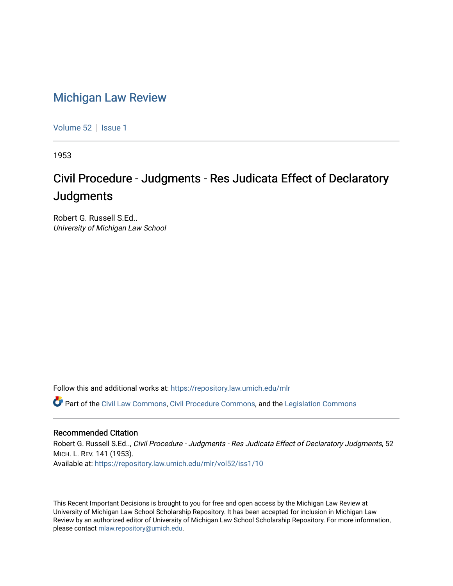## [Michigan Law Review](https://repository.law.umich.edu/mlr)

[Volume 52](https://repository.law.umich.edu/mlr/vol52) | [Issue 1](https://repository.law.umich.edu/mlr/vol52/iss1)

1953

## Civil Procedure - Judgments - Res Judicata Effect of Declaratory **Judgments**

Robert G. Russell S.Ed.. University of Michigan Law School

Follow this and additional works at: [https://repository.law.umich.edu/mlr](https://repository.law.umich.edu/mlr?utm_source=repository.law.umich.edu%2Fmlr%2Fvol52%2Fiss1%2F10&utm_medium=PDF&utm_campaign=PDFCoverPages) 

Part of the [Civil Law Commons](http://network.bepress.com/hgg/discipline/835?utm_source=repository.law.umich.edu%2Fmlr%2Fvol52%2Fiss1%2F10&utm_medium=PDF&utm_campaign=PDFCoverPages), [Civil Procedure Commons,](http://network.bepress.com/hgg/discipline/584?utm_source=repository.law.umich.edu%2Fmlr%2Fvol52%2Fiss1%2F10&utm_medium=PDF&utm_campaign=PDFCoverPages) and the [Legislation Commons](http://network.bepress.com/hgg/discipline/859?utm_source=repository.law.umich.edu%2Fmlr%2Fvol52%2Fiss1%2F10&utm_medium=PDF&utm_campaign=PDFCoverPages)

## Recommended Citation

Robert G. Russell S.Ed.., Civil Procedure - Judgments - Res Judicata Effect of Declaratory Judgments, 52 MICH. L. REV. 141 (1953). Available at: [https://repository.law.umich.edu/mlr/vol52/iss1/10](https://repository.law.umich.edu/mlr/vol52/iss1/10?utm_source=repository.law.umich.edu%2Fmlr%2Fvol52%2Fiss1%2F10&utm_medium=PDF&utm_campaign=PDFCoverPages) 

This Recent Important Decisions is brought to you for free and open access by the Michigan Law Review at University of Michigan Law School Scholarship Repository. It has been accepted for inclusion in Michigan Law Review by an authorized editor of University of Michigan Law School Scholarship Repository. For more information, please contact [mlaw.repository@umich.edu.](mailto:mlaw.repository@umich.edu)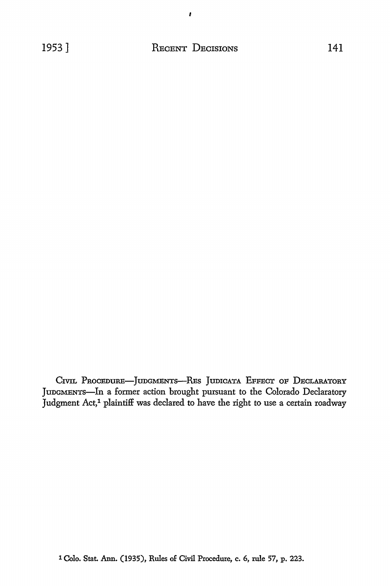$\mathbf{r}$ 

CIVIL PROCEDURE-JUDGMENTS-RES JUDICATA EFFECT OF DECLARATORY JUDGMENTS-In a former action brought pursuant to the Colorado Declaratory Judgment Act,<sup>1</sup> plaintiff was declared to have the right to use a certain roadway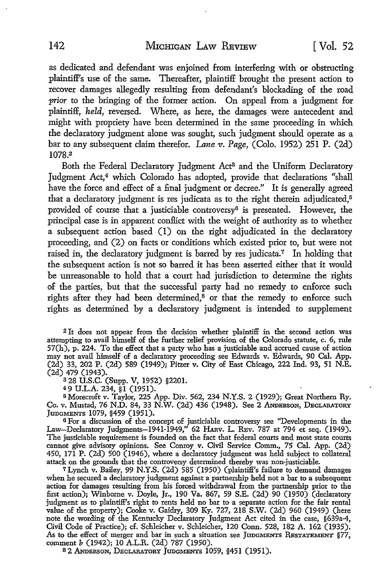as dedicated and defendant was enjoined from interfering with or obstructing plaintiff's use of the same. Thereafter, plaintiff brought the present action to recover damages allegedly resulting from defendant's blockading of the road *prior* to the bringing of the former action. On appeal from a judgment for plaintiff, *held,* reversed. Where, as here, the damages were antecedent and might with propriety have been determined in the same proceeding in which the declaratory judgment alone was sought, such judgment should operate as a bar to any subsequent claim therefor. *Lane v. Page,* (Colo. 1952) 251 P. (2d) 1078.<sup>2</sup>

Both the Federal Declaratory Judgment Act3 and the Uniform Declaratory Judgment Act,<sup>4</sup> which Colorado has adopted, provide that declarations "shall have the force and effect of a final judgment or decree." It is generally agreed that a declaratory judgment is res judicata as to the right therein adjudicated,<sup>5</sup> provided of course that a justiciable controversy $6$  is presented. However, the principal case is in apparent conflict with the weight of authority as to whether a subsequent action based (I) on the right adjudicated in the declaratory proceeding, and (2) on facts or conditions which existed prior to, but were not raised in, the declaratory judgment is barred by res judicata.<sup>7</sup> In holding that the subsequent action is not so barred it has been asserted either that it would be unreasonable to hold that a court had jurisdiction to determine the rights of the parties, but that the successful party had no remedy to enforce such rights after they had been determined, $8$  or that the remedy to enforce such rights as determined by a declaratory judgment is intended *to* supplement

<sup>2</sup>It does not appear from the decision whether plaintiff in the second action was attempting to avail himself of the further relief provision of the Colorado statute, c. 6, rule  $57(h)$ , p. 224. To the effect that a party who has a justiciable and accrued cause of action may not avail himself of a declaratory proceeding see Edwards v. Edwards, 90 Cal. App. (2d) 33, 202 P. (2d) 589 (1949); Pitzer v. City of East Chicago, 222 Ind. 93, 51 N.E. (2d) 479 (1943).

a 28 U.S.C. (Supp. V, 1952) §2201.

<sup>4</sup>9 U.L.A. 234, §1 (1951).

<sup>5</sup>Morecroft v. Taylor, 225 App. Div. 562, 234 N.Y.S. 2 (1929); Great Northern Ry. Co. v. Mustad, 76 N.D. 84, 33 N.W. (2d) 436 (1948). See 2 Anderson, Declaratory JUDGMENTS 1079, §459 (1951).

<sup>6</sup>For a discussion of the concept of justiciable controversy see "Developments in the Law-Declaratory Judgments-1941-1949," 62 HAnv. L. REv. 787 at 794 et seq. (1949). The justiciable requirement is founded on the fact that federal courts and most state courts cannot give advisory opinions. See Conroy v. Civil Service Comm., 75 Cal. App. (2d) 450, 171 P. (2d) 500 (1946), where a declaratory judgment was held subject to collateral attack on the grounds that the controversy determined thereby was non-justiciable.

<sup>7</sup>Lynch v. Bailey, 99 N.Y.S. (2d) 585 (1950) (plaintiff's failure to demand damages when he secured a declaratory judgment against a partnership held not a bar to a subsequent action for damages resulting from his forced withdrawal from the partnership prior to the fust action); Winborne v. Doyle, Jr., 190 Va. 867, 59 S.E. (2d) 90 (1950) (declaratory judgment as to plaintiff's right to rents held no bar to a separate action for the fair rental value of the property); Cooke v. Gaidry, 309 Ky. 727, 218 S.W. (2d) 960 (1949) (here note the wording of the Kentucky Declaratory Judgment Act cited in the case, §639a-4, Civil Code of Practice); cf. Schleicher v. Schleicher, 120 Conn. 528, 182 A. 162 (1935). As to the effect of merger and bar in such a situation see JUDGMENTS RESTATEMENT §77, comment b (1942); 10 A.L.R. (2d) 787 (1950).

8 2 ANDERSON, DECLARATORY JUDGMENTS 1059, §451 (1951).